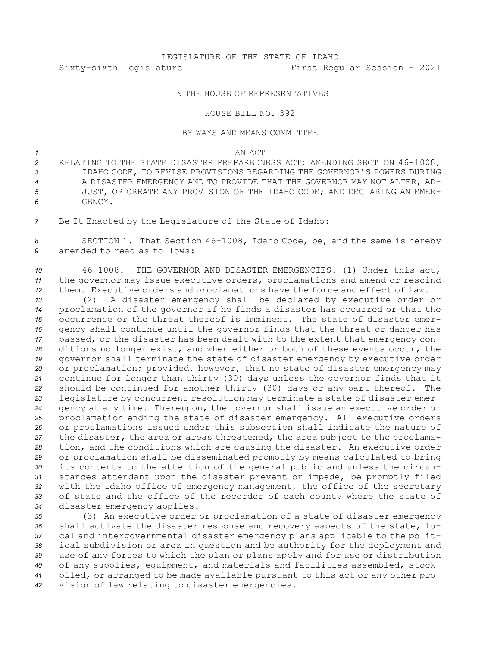## IN THE HOUSE OF REPRESENTATIVES

## HOUSE BILL NO. 392

## BY WAYS AND MEANS COMMITTEE

*1* AN ACT

 RELATING TO THE STATE DISASTER PREPAREDNESS ACT; AMENDING SECTION 46-1008, IDAHO CODE, TO REVISE PROVISIONS REGARDING THE GOVERNOR'S POWERS DURING A DISASTER EMERGENCY AND TO PROVIDE THAT THE GOVERNOR MAY NOT ALTER, AD- JUST, OR CREATE ANY PROVISION OF THE IDAHO CODE; AND DECLARING AN EMER-*6* GENCY.

*<sup>7</sup>* Be It Enacted by the Legislature of the State of Idaho:

*<sup>8</sup>* SECTION 1. That Section 46-1008, Idaho Code, be, and the same is hereby *9* amended to read as follows:

*<sup>10</sup>* 46-1008. THE GOVERNOR AND DISASTER EMERGENCIES. (1) Under this act, *<sup>11</sup>* the governor may issue executive orders, proclamations and amend or rescind *<sup>12</sup>* them. Executive orders and proclamations have the force and effect of law.

 (2) <sup>A</sup> disaster emergency shall be declared by executive order or proclamation of the governor if he finds <sup>a</sup> disaster has occurred or that the occurrence or the threat thereof is imminent. The state of disaster emer- gency shall continue until the governor finds that the threat or danger has passed, or the disaster has been dealt with to the extent that emergency con- ditions no longer exist, and when either or both of these events occur, the governor shall terminate the state of disaster emergency by executive order or proclamation; provided, however, that no state of disaster emergency may continue for longer than thirty (30) days unless the governor finds that it should be continued for another thirty (30) days or any part thereof. The legislature by concurrent resolution may terminate <sup>a</sup> state of disaster emer- gency at any time. Thereupon, the governor shall issue an executive order or proclamation ending the state of disaster emergency. All executive orders or proclamations issued under this subsection shall indicate the nature of the disaster, the area or areas threatened, the area subject to the proclama- tion, and the conditions which are causing the disaster. An executive order or proclamation shall be disseminated promptly by means calculated to bring its contents to the attention of the general public and unless the circum- stances attendant upon the disaster prevent or impede, be promptly filed with the Idaho office of emergency management, the office of the secretary of state and the office of the recorder of each county where the state of disaster emergency applies.

 (3) An executive order or proclamation of <sup>a</sup> state of disaster emergency shall activate the disaster response and recovery aspects of the state, lo- cal and intergovernmental disaster emergency plans applicable to the polit- ical subdivision or area in question and be authority for the deployment and use of any forces to which the plan or plans apply and for use or distribution of any supplies, equipment, and materials and facilities assembled, stock- piled, or arranged to be made available pursuant to this act or any other pro-vision of law relating to disaster emergencies.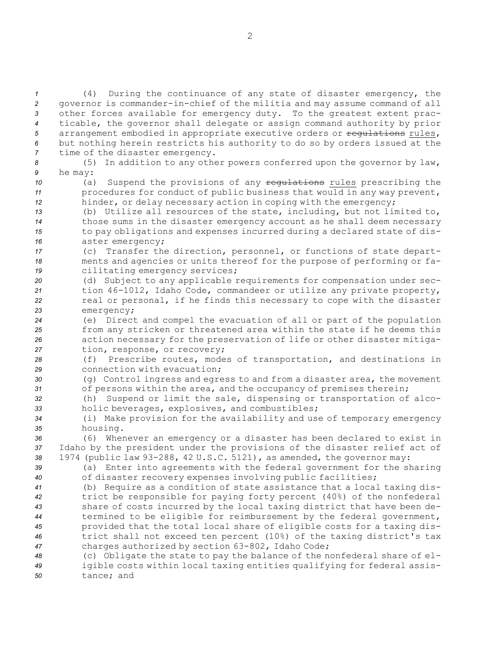(4) During the continuance of any state of disaster emergency, the governor is commander-in-chief of the militia and may assume command of all other forces available for emergency duty. To the greatest extent prac- ticable, the governor shall delegate or assign command authority by prior 5 arrangement embodied in appropriate executive orders or requiations rules, but nothing herein restricts his authority to do so by orders issued at the time of the disaster emergency.

*<sup>8</sup>* (5) In addition to any other powers conferred upon the governor by law, *<sup>9</sup>* he may:

10 (a) Suspend the provisions of any requistions rules prescribing the *<sup>11</sup>* procedures for conduct of public business that would in any way prevent, *<sup>12</sup>* hinder, or delay necessary action in coping with the emergency;

 (b) Utilize all resources of the state, including, but not limited to, those sums in the disaster emergency account as he shall deem necessary to pay obligations and expenses incurred during <sup>a</sup> declared state of dis-aster emergency;

*<sup>17</sup>* (c) Transfer the direction, personnel, or functions of state depart-*<sup>18</sup>* ments and agencies or units thereof for the purpose of performing or fa-*<sup>19</sup>* cilitating emergency services;

 (d) Subject to any applicable requirements for compensation under sec- tion 46-1012, Idaho Code, commandeer or utilize any private property, real or personal, if he finds this necessary to cope with the disaster emergency;

 (e) Direct and compel the evacuation of all or part of the population from any stricken or threatened area within the state if he deems this action necessary for the preservation of life or other disaster mitiga-tion, response, or recovery;

*<sup>28</sup>* (f) Prescribe routes, modes of transportation, and destinations in *29* connection with evacuation;

*<sup>30</sup>* (g) Control ingress and egress to and from <sup>a</sup> disaster area, the movement *<sup>31</sup>* of persons within the area, and the occupancy of premises therein;

*<sup>32</sup>* (h) Suspend or limit the sale, dispensing or transportation of alco-*<sup>33</sup>* holic beverages, explosives, and combustibles;

*<sup>34</sup>* (i) Make provision for the availability and use of temporary emergency *<sup>35</sup>* housing.

*<sup>36</sup>* (6) Whenever an emergency or <sup>a</sup> disaster has been declared to exist in *<sup>37</sup>* Idaho by the president under the provisions of the disaster relief act of *<sup>38</sup>* 1974 (public law 93-288, 42 U.S.C. 5121), as amended, the governor may:

*<sup>39</sup>* (a) Enter into agreements with the federal government for the sharing *<sup>40</sup>* of disaster recovery expenses involving public facilities;

 (b) Require as <sup>a</sup> condition of state assistance that <sup>a</sup> local taxing dis- trict be responsible for paying forty percent (40%) of the nonfederal share of costs incurred by the local taxing district that have been de- termined to be eligible for reimbursement by the federal government, provided that the total local share of eligible costs for <sup>a</sup> taxing dis- trict shall not exceed ten percent (10%) of the taxing district's tax charges authorized by section 63-802, Idaho Code;

*<sup>48</sup>* (c) Obligate the state to pay the balance of the nonfederal share of el-*<sup>49</sup>* igible costs within local taxing entities qualifying for federal assis-*50* tance; and